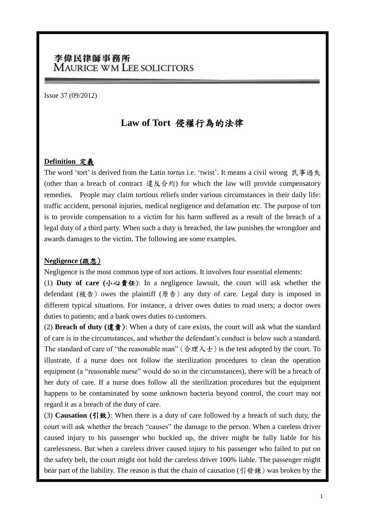## 李偉民律師事務所 **MAURICE WM LEE SOLICITORS**

Issue 37 (09/2012)

# **Law of Tort** 侵權行為的法律

#### **Definition** 定義

The word 'tort' is derived from the Latin *tortus* i.e. 'twist'. It means a civil wrong 民事過失 (other than a breach of contract 違反合約) for which the law will provide compensatory remedies. People may claim tortious reliefs under various circumstances in their daily life: traffic accident, personal injuries, medical negligence and defamation etc. The purpose of tort is to provide compensation to a victim for his harm suffered as a result of the breach of a legal duty of a third party. When such a duty is breached, the law punishes the wrongdoer and awards damages to the victim. The following are some examples.

#### **Negligence (**疏忽)

Negligence is the most common type of tort actions. It involves four essential elements:

(1) **Duty of care (**小心責任): In a negligence lawsuit, the court will ask whether the defendant (被告) owes the plaintiff (原告) any duty of care. Legal duty is imposed in different typical situations. For instance, a driver owes duties to road users; a doctor owes duties to patients; and a bank owes duties to customers.

(2) **Breach of duty** (違責): When a duty of care exists, the court will ask what the standard of care is in the circumstances, and whether the defendant"s conduct is below such a standard. The standard of care of "the reasonable man" (合理人士) is the test adopted by the court. To illustrate, if a nurse does not follow the sterilization procedures to clean the operation equipment (a "reasonable nurse" would do so in the circumstances), there will be a breach of her duty of care. If a nurse does follow all the sterilization procedures but the equipment happens to be contaminated by some unknown bacteria beyond control, the court may not regard it as a breach of the duty of care.

(3) **Causation (**引致): When there is a duty of care followed by a breach of such duty, the court will ask whether the breach "causes" the damage to the person. When a careless driver caused injury to his passenger who buckled up, the driver might be fully liable for his carelessness. But when a careless driver caused injury to his passenger who failed to put on the safety belt, the court might not hold the careless driver 100% liable. The passenger might bear part of the liability. The reason is that the chain of causation (引發鍊) was broken by the

l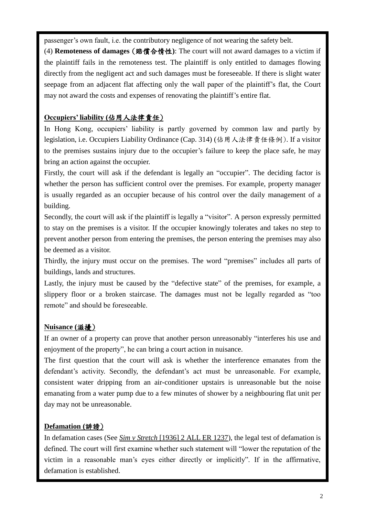passenger's own fault, i.e. the contributory negligence of not wearing the safety belt.

(4) **Remoteness of damages** (賠償合情性**)**: The court will not award damages to a victim if the plaintiff fails in the remoteness test. The plaintiff is only entitled to damages flowing directly from the negligent act and such damages must be foreseeable. If there is slight water seepage from an adjacent flat affecting only the wall paper of the plaintiff"s flat, the Court may not award the costs and expenses of renovating the plaintiff"s entire flat.

### **Occupiers' liability (**佔用人法律責任)

In Hong Kong, occupiers' liability is partly governed by common law and partly by legislation, i.e. Occupiers Liability Ordinance (Cap. 314) (佔用人法律責任條例). If a visitor to the premises sustains injury due to the occupier"s failure to keep the place safe, he may bring an action against the occupier.

Firstly, the court will ask if the defendant is legally an "occupier". The deciding factor is whether the person has sufficient control over the premises. For example, property manager is usually regarded as an occupier because of his control over the daily management of a building.

Secondly, the court will ask if the plaintiff is legally a "visitor". A person expressly permitted to stay on the premises is a visitor. If the occupier knowingly tolerates and takes no step to prevent another person from entering the premises, the person entering the premises may also be deemed as a visitor.

Thirdly, the injury must occur on the premises. The word "premises" includes all parts of buildings, lands and structures.

Lastly, the injury must be caused by the "defective state" of the premises, for example, a slippery floor or a broken staircase. The damages must not be legally regarded as "too remote" and should be foreseeable.

### **Nuisance (**滋擾)

If an owner of a property can prove that another person unreasonably "interferes his use and enjoyment of the property", he can bring a court action in nuisance.

The first question that the court will ask is whether the interference emanates from the defendant's activity. Secondly, the defendant's act must be unreasonable. For example, consistent water dripping from an air-conditioner upstairs is unreasonable but the noise emanating from a water pump due to a few minutes of shower by a neighbouring flat unit per day may not be unreasonable.

### **Defamation (**誹謗)

In defamation cases (See *Sim v Stretch* [1936] 2 ALL ER 1237), the legal test of defamation is defined. The court will first examine whether such statement will "lower the reputation of the victim in a reasonable man"s eyes either directly or implicitly". If in the affirmative, defamation is established.

l